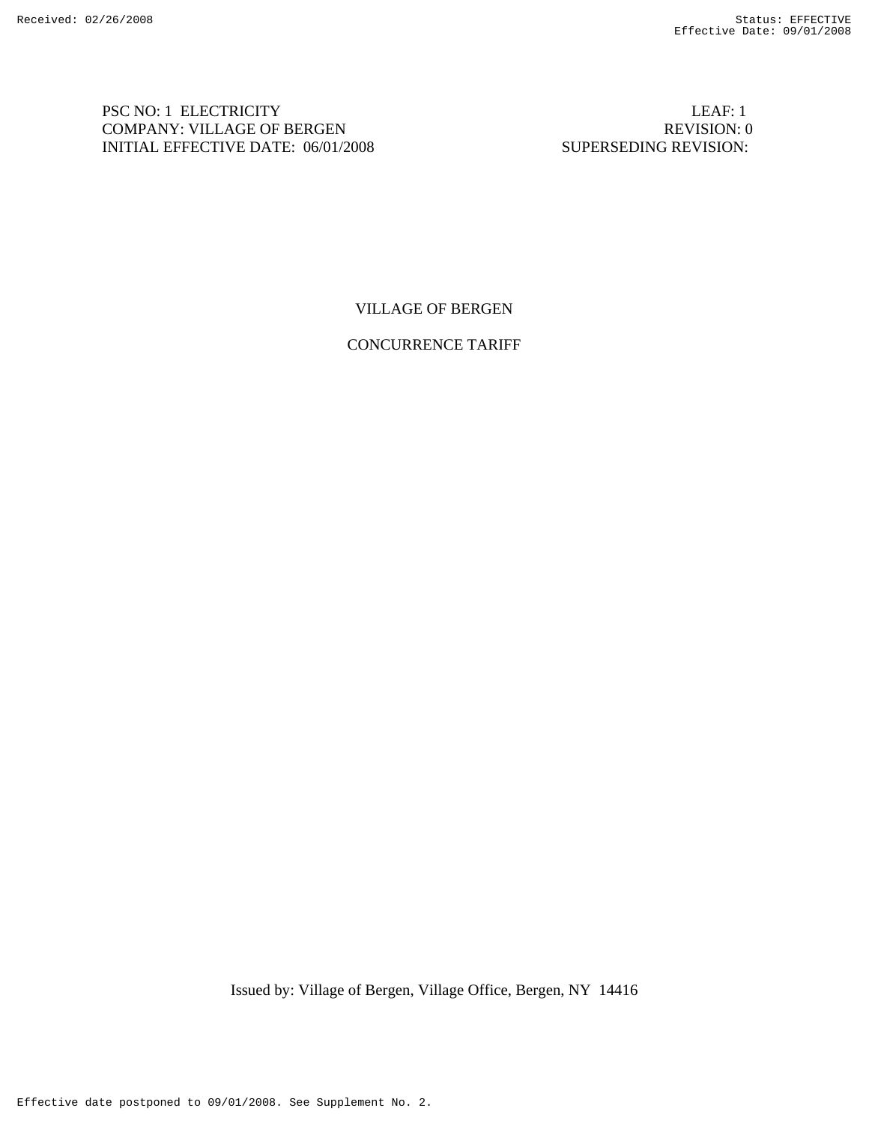PSC NO: 1 ELECTRICITY LEAF: 1 COMPANY: VILLAGE OF BERGEN REVISION: 0 INITIAL EFFECTIVE DATE: 06/01/2008 SUPERSEDING REVISION:

VILLAGE OF BERGEN

CONCURRENCE TARIFF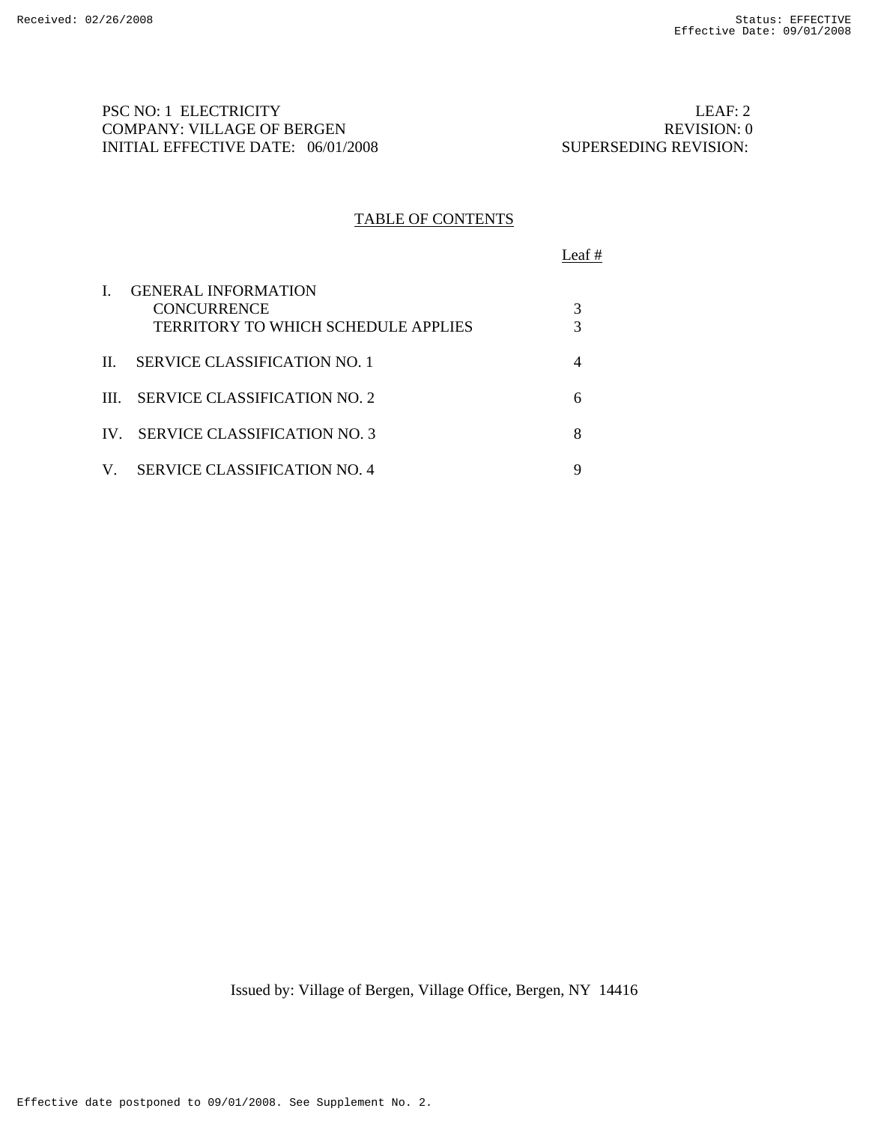PSC NO: 1 ELECTRICITY LEAF: 2 COMPANY: VILLAGE OF BERGEN REVISION: 0 INITIAL EFFECTIVE DATE: 06/01/2008 SUPERSEDING REVISION:

# TABLE OF CONTENTS

Leaf #

| L   | <b>GENERAL INFORMATION</b><br><b>CONCURRENCE</b><br><b>TERRITORY TO WHICH SCHEDULE APPLIES</b> |  |
|-----|------------------------------------------------------------------------------------------------|--|
| II. | SERVICE CLASSIFICATION NO. 1                                                                   |  |
|     | III. SERVICE CLASSIFICATION NO. 2                                                              |  |
|     | IV SERVICE CLASSIFICATION NO. 3                                                                |  |
| V.  | SERVICE CLASSIFICATION NO. 4                                                                   |  |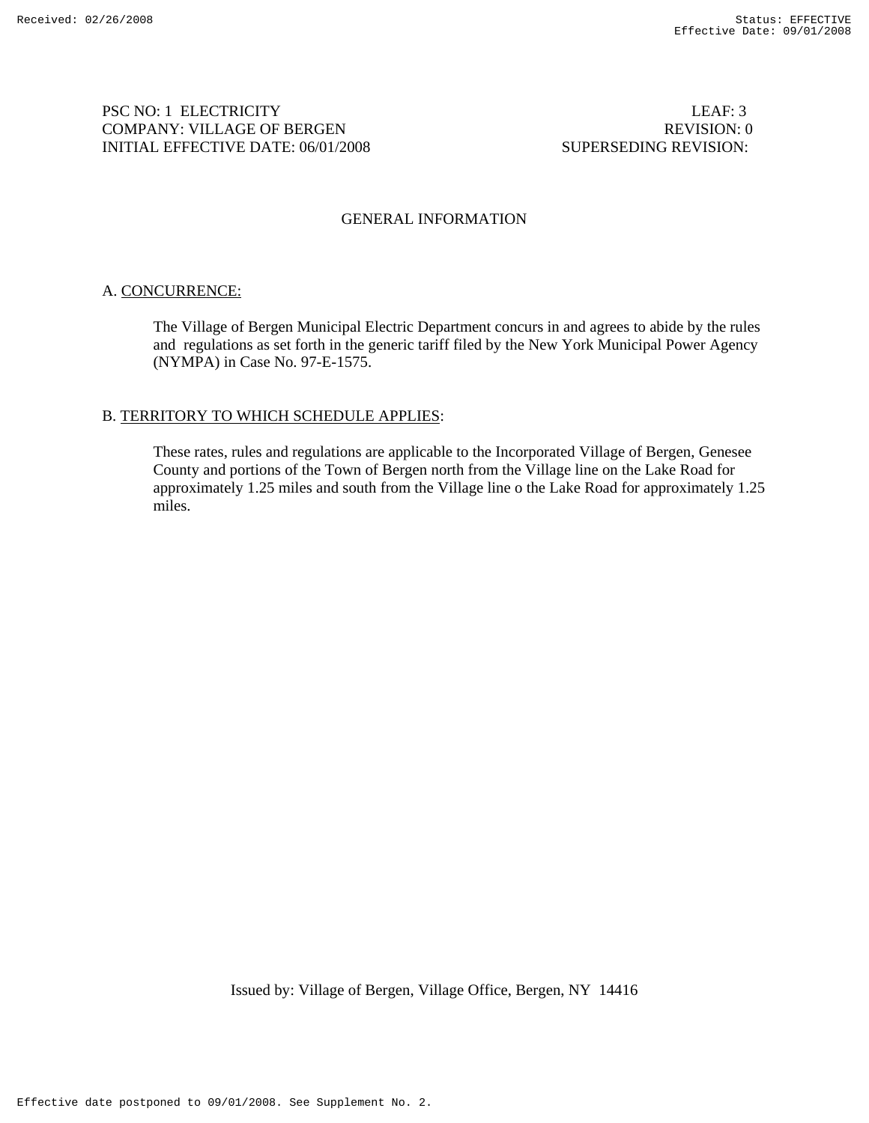## PSC NO: 1 ELECTRICITY LEAF: 3 COMPANY: VILLAGE OF BERGEN REVISION: 0 INITIAL EFFECTIVE DATE: 06/01/2008 SUPERSEDING REVISION:

## GENERAL INFORMATION

# A. CONCURRENCE:

The Village of Bergen Municipal Electric Department concurs in and agrees to abide by the rules and regulations as set forth in the generic tariff filed by the New York Municipal Power Agency (NYMPA) in Case No. 97-E-1575.

# B. TERRITORY TO WHICH SCHEDULE APPLIES:

These rates, rules and regulations are applicable to the Incorporated Village of Bergen, Genesee County and portions of the Town of Bergen north from the Village line on the Lake Road for approximately 1.25 miles and south from the Village line o the Lake Road for approximately 1.25 miles.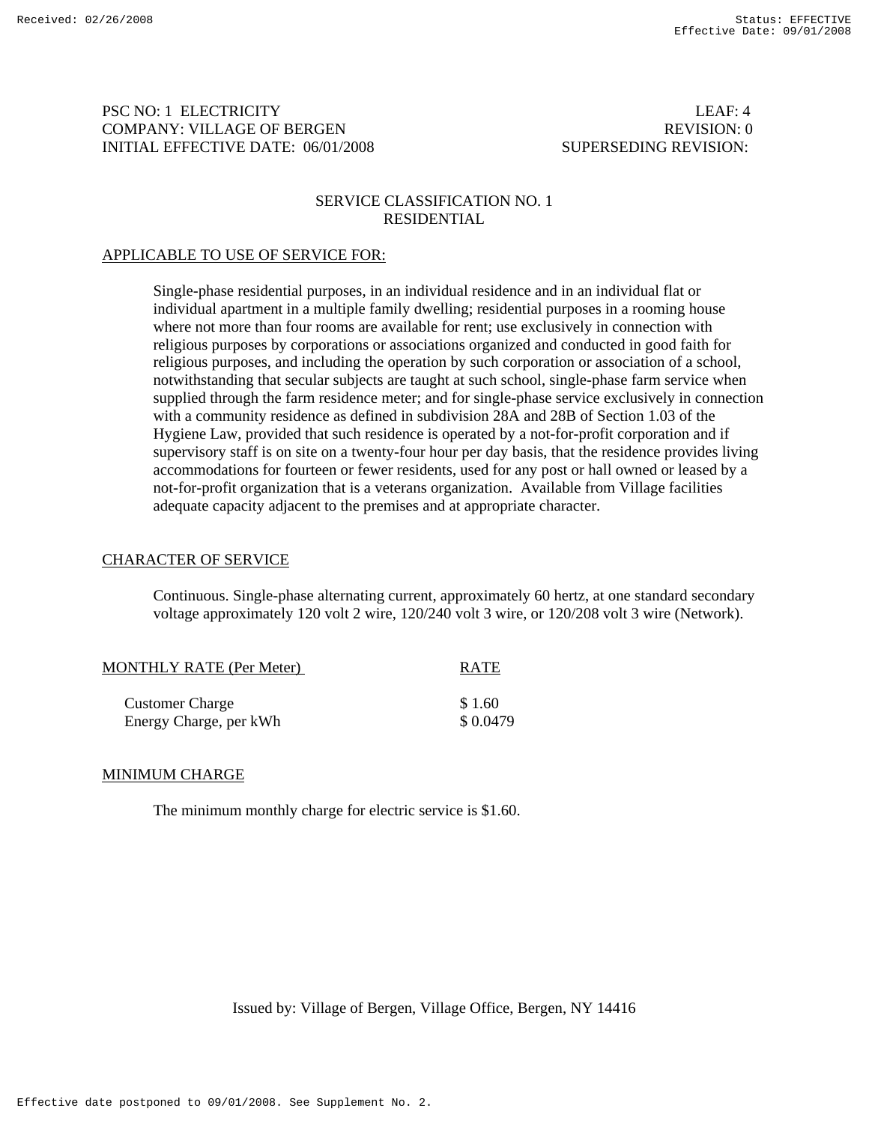## PSC NO: 1 ELECTRICITY LEAF: 4 COMPANY: VILLAGE OF BERGEN REVISION: 0 INITIAL EFFECTIVE DATE: 06/01/2008 SUPERSEDING REVISION:

## SERVICE CLASSIFICATION NO. 1 RESIDENTIAL

# APPLICABLE TO USE OF SERVICE FOR:

Single-phase residential purposes, in an individual residence and in an individual flat or individual apartment in a multiple family dwelling; residential purposes in a rooming house where not more than four rooms are available for rent; use exclusively in connection with religious purposes by corporations or associations organized and conducted in good faith for religious purposes, and including the operation by such corporation or association of a school, notwithstanding that secular subjects are taught at such school, single-phase farm service when supplied through the farm residence meter; and for single-phase service exclusively in connection with a community residence as defined in subdivision 28A and 28B of Section 1.03 of the Hygiene Law, provided that such residence is operated by a not-for-profit corporation and if supervisory staff is on site on a twenty-four hour per day basis, that the residence provides living accommodations for fourteen or fewer residents, used for any post or hall owned or leased by a not-for-profit organization that is a veterans organization. Available from Village facilities adequate capacity adjacent to the premises and at appropriate character.

## CHARACTER OF SERVICE

Continuous. Single-phase alternating current, approximately 60 hertz, at one standard secondary voltage approximately 120 volt 2 wire, 120/240 volt 3 wire, or 120/208 volt 3 wire (Network).

| <b>MONTHLY RATE (Per Meter)</b> | <b>RATE</b> |
|---------------------------------|-------------|
| <b>Customer Charge</b>          | \$1.60      |
| Energy Charge, per kWh          | \$0.0479    |

# MINIMUM CHARGE

The minimum monthly charge for electric service is \$1.60.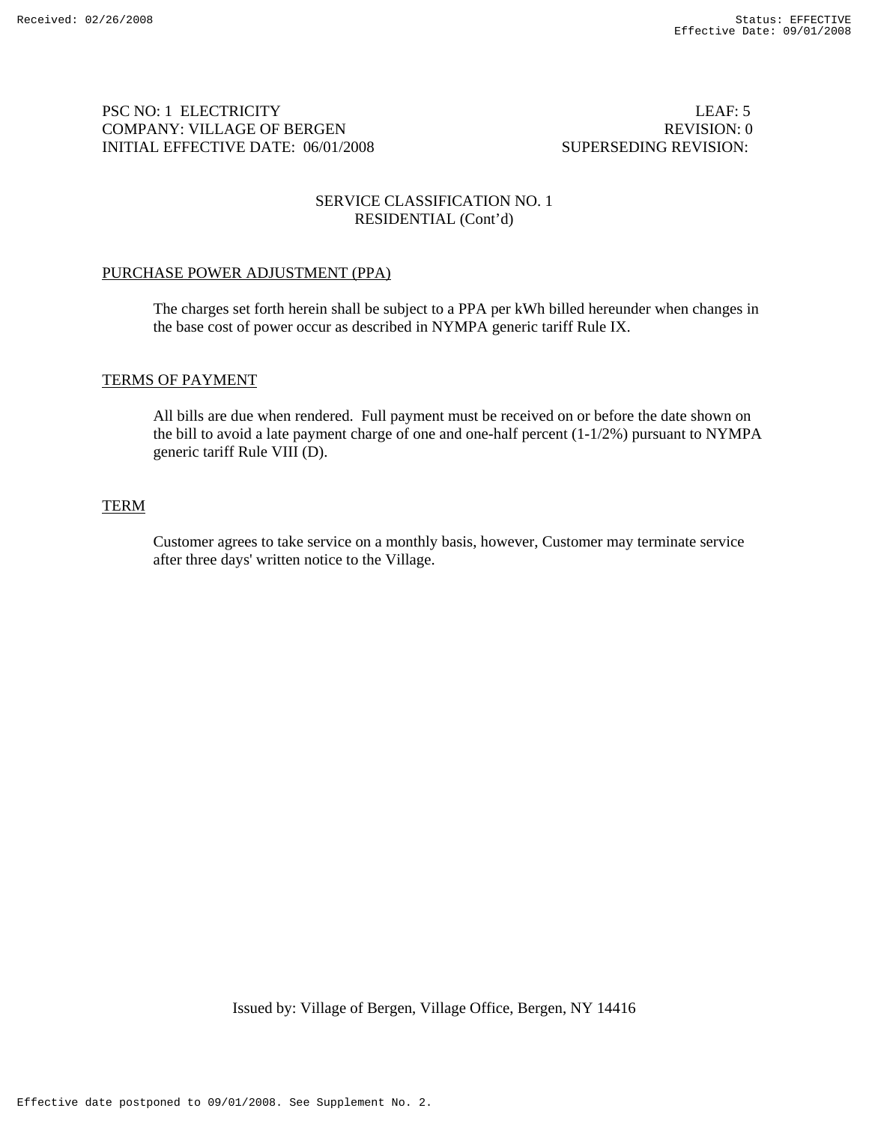## PSC NO: 1 ELECTRICITY LEAF: 5 COMPANY: VILLAGE OF BERGEN REVISION: 0 INITIAL EFFECTIVE DATE: 06/01/2008 SUPERSEDING REVISION:

# SERVICE CLASSIFICATION NO. 1 RESIDENTIAL (Cont'd)

# PURCHASE POWER ADJUSTMENT (PPA)

The charges set forth herein shall be subject to a PPA per kWh billed hereunder when changes in the base cost of power occur as described in NYMPA generic tariff Rule IX.

# TERMS OF PAYMENT

All bills are due when rendered. Full payment must be received on or before the date shown on the bill to avoid a late payment charge of one and one-half percent (1-1/2%) pursuant to NYMPA generic tariff Rule VIII (D).

# **TERM**

Customer agrees to take service on a monthly basis, however, Customer may terminate service after three days' written notice to the Village.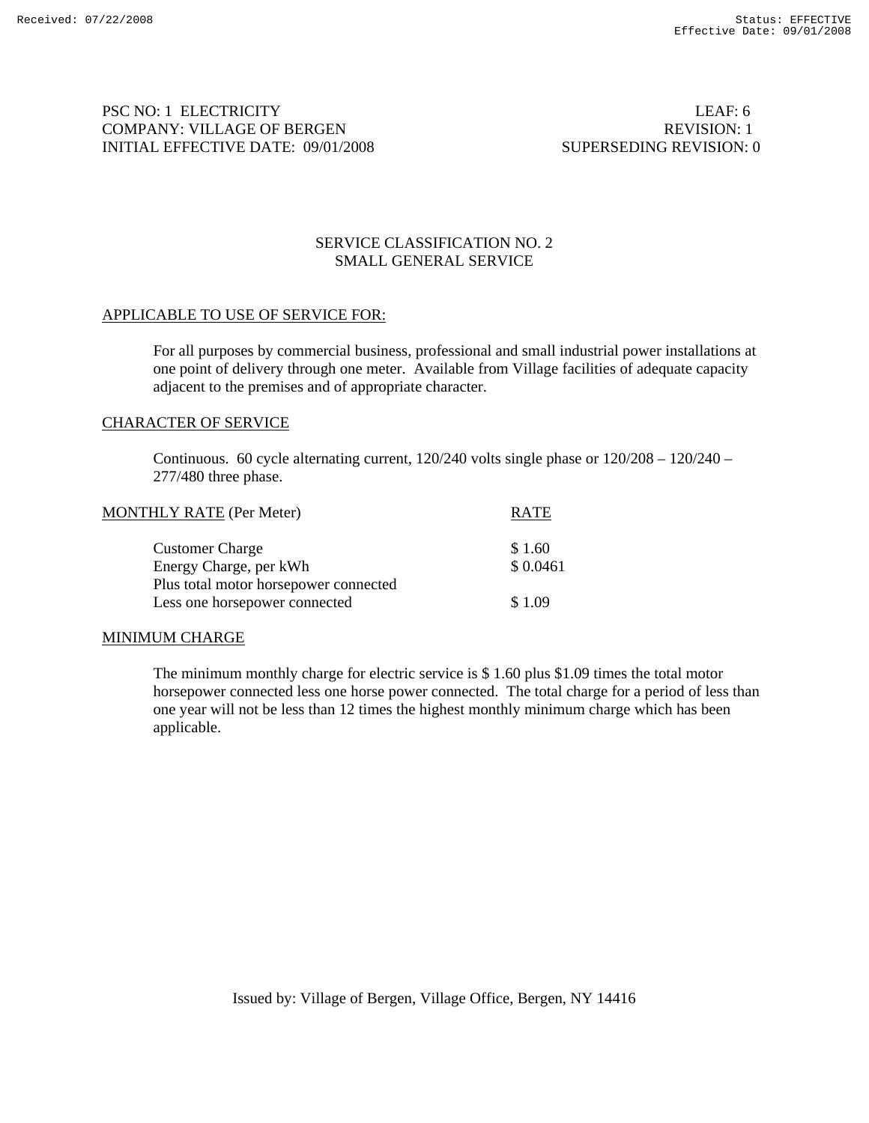PSC NO: 1 ELECTRICITY LEAF: 6 COMPANY: VILLAGE OF BERGEN REVISION: 1 INITIAL EFFECTIVE DATE: 09/01/2008 SUPERSEDING REVISION: 0

# SERVICE CLASSIFICATION NO. 2 SMALL GENERAL SERVICE

## APPLICABLE TO USE OF SERVICE FOR:

For all purposes by commercial business, professional and small industrial power installations at one point of delivery through one meter. Available from Village facilities of adequate capacity adjacent to the premises and of appropriate character.

#### CHARACTER OF SERVICE

Continuous. 60 cycle alternating current,  $120/240$  volts single phase or  $120/208 - 120/240$  – 277/480 three phase.

| <b>MONTHLY RATE (Per Meter)</b>       | <b>RATE</b> |
|---------------------------------------|-------------|
| <b>Customer Charge</b>                | \$1.60      |
| Energy Charge, per kWh                | \$0.0461    |
| Plus total motor horsepower connected |             |
| Less one horsepower connected         | \$1.09      |
|                                       |             |

## MINIMUM CHARGE

The minimum monthly charge for electric service is  $$1.60$  plus  $$1.09$  times the total motor horsepower connected less one horse power connected. The total charge for a period of less than one year will not be less than 12 times the highest monthly minimum charge which has been applicable.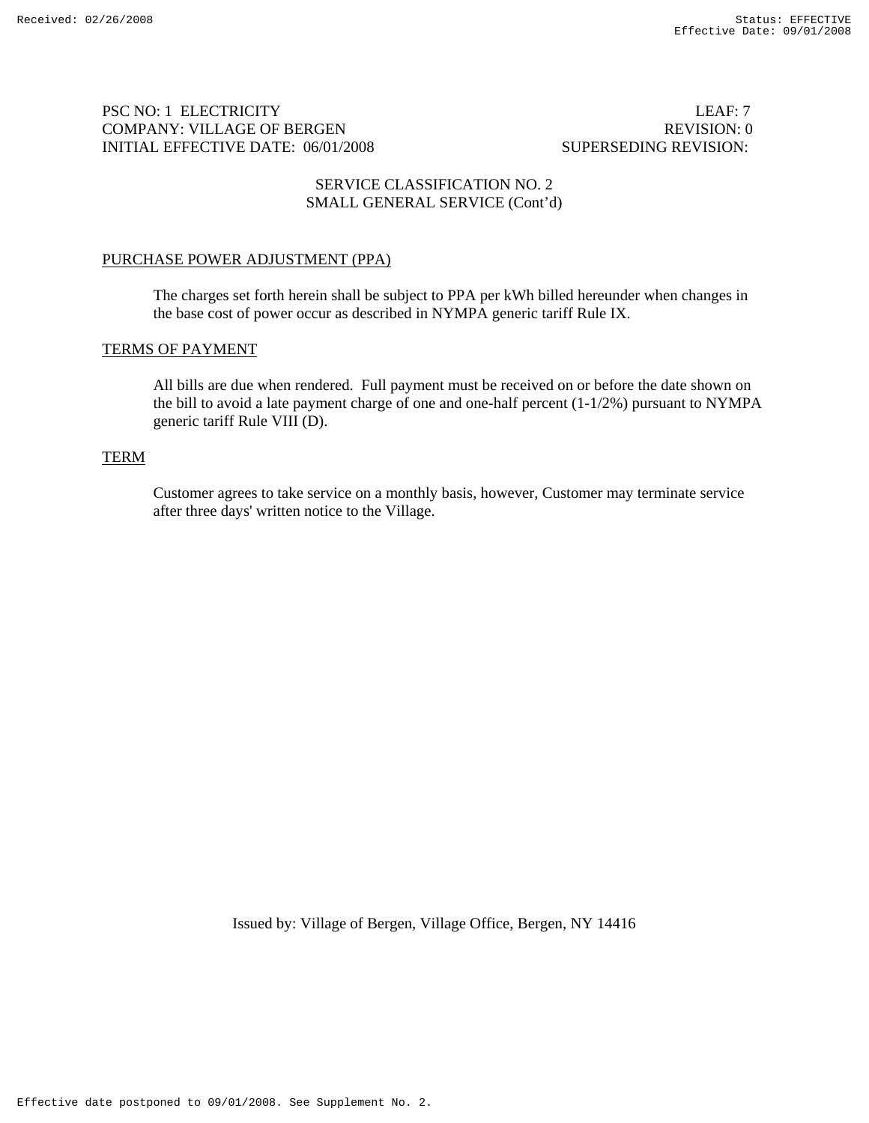# PSC NO: 1 ELECTRICITY LEAF: 7 COMPANY: VILLAGE OF BERGEN REVISION: 0 INITIAL EFFECTIVE DATE: 06/01/2008 SUPERSEDING REVISION:

# SERVICE CLASSIFICATION NO. 2 SMALL GENERAL SERVICE (Cont'd)

# PURCHASE POWER ADJUSTMENT (PPA)

The charges set forth herein shall be subject to PPA per kWh billed hereunder when changes in the base cost of power occur as described in NYMPA generic tariff Rule IX.

# TERMS OF PAYMENT

All bills are due when rendered. Full payment must be received on or before the date shown on the bill to avoid a late payment charge of one and one-half percent (1-1/2%) pursuant to NYMPA generic tariff Rule VIII (D).

## TERM

Customer agrees to take service on a monthly basis, however, Customer may terminate service after three days' written notice to the Village.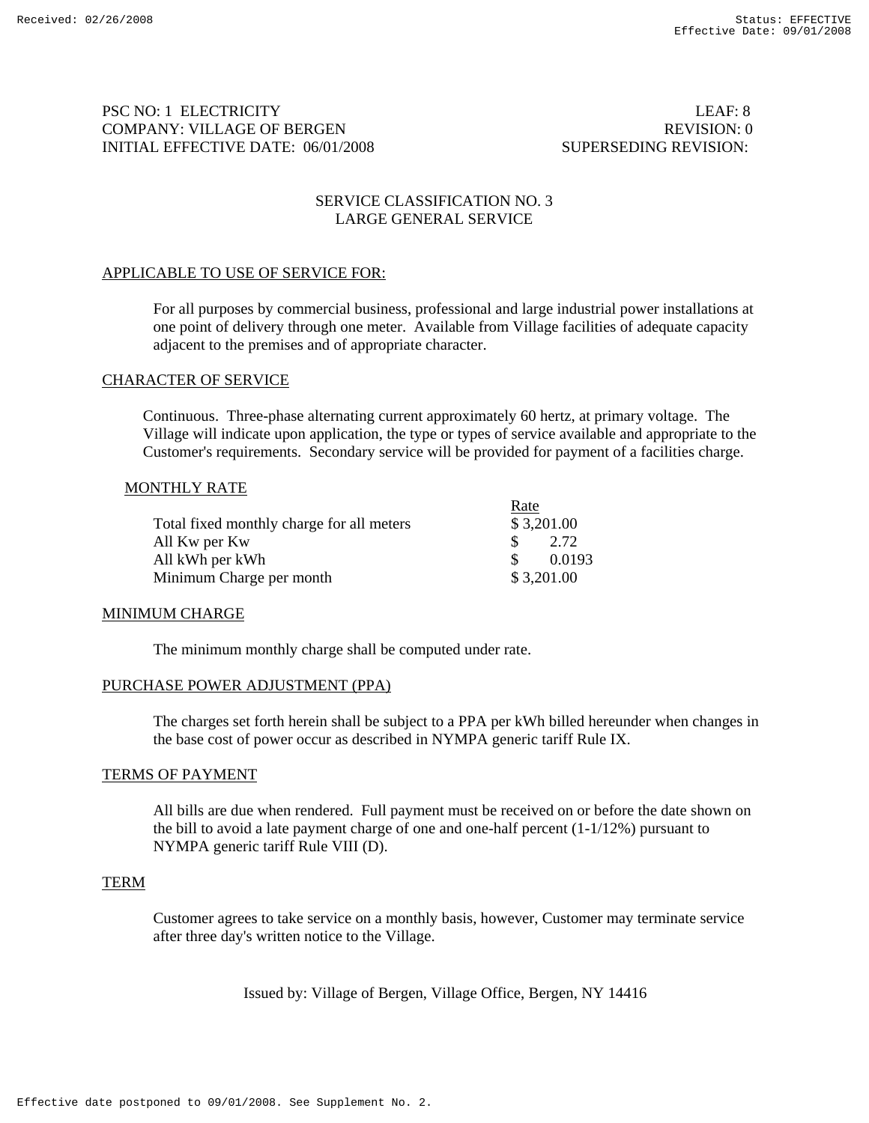# PSC NO: 1 ELECTRICITY LEAF: 8 COMPANY: VILLAGE OF BERGEN REVISION: 0 INITIAL EFFECTIVE DATE: 06/01/2008 SUPERSEDING REVISION:

# SERVICE CLASSIFICATION NO. 3 LARGE GENERAL SERVICE

# APPLICABLE TO USE OF SERVICE FOR:

For all purposes by commercial business, professional and large industrial power installations at one point of delivery through one meter. Available from Village facilities of adequate capacity adjacent to the premises and of appropriate character.

## CHARACTER OF SERVICE

Continuous. Three-phase alternating current approximately 60 hertz, at primary voltage. The Village will indicate upon application, the type or types of service available and appropriate to the Customer's requirements. Secondary service will be provided for payment of a facilities charge.

## MONTHLY RATE

|                                           | Rate          |            |
|-------------------------------------------|---------------|------------|
| Total fixed monthly charge for all meters |               | \$3,201.00 |
| All Kw per Kw                             | $\mathcal{S}$ | 2.72       |
| All kWh per kWh                           | <sup>T</sup>  | 0.0193     |
| Minimum Charge per month                  |               | \$3,201.00 |

#### MINIMUM CHARGE

The minimum monthly charge shall be computed under rate.

#### PURCHASE POWER ADJUSTMENT (PPA)

The charges set forth herein shall be subject to a PPA per kWh billed hereunder when changes in the base cost of power occur as described in NYMPA generic tariff Rule IX.

#### TERMS OF PAYMENT

All bills are due when rendered. Full payment must be received on or before the date shown on the bill to avoid a late payment charge of one and one-half percent (1-1/12%) pursuant to NYMPA generic tariff Rule VIII (D).

## TERM

Customer agrees to take service on a monthly basis, however, Customer may terminate service after three day's written notice to the Village.